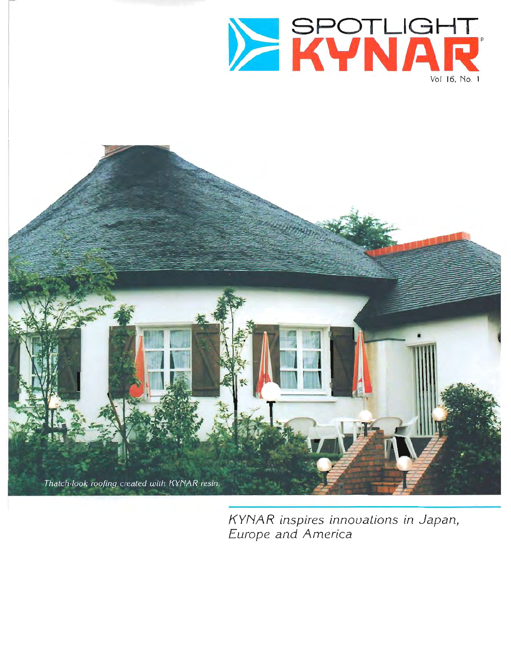



KYNAR inspires innovations in Japan, Europe and America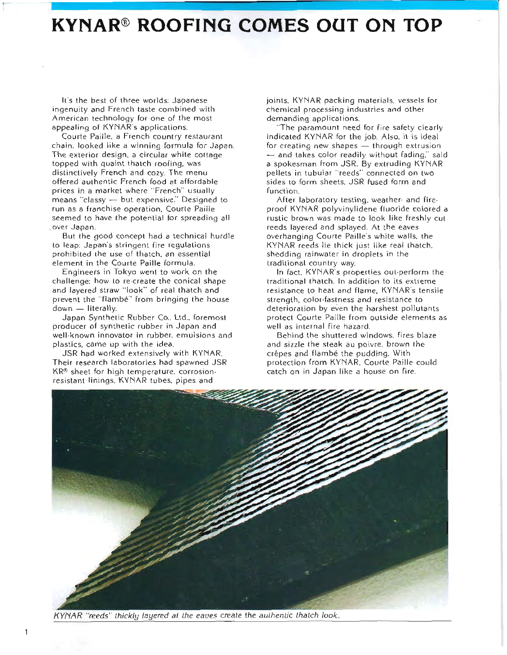## **KYNAR® ROOFING COMES OUT ON TOP**

It's the best of three worlds: Japanese ingenuity and French taste combined with American technology for one of the most appealing of KYNAR's applications.

Courte Paille, a French country restaurant chain. looked like a winning formula for Japan. The exterior design, a circular white cottage topped with quaint thatch roofing, was distinctively French and cozy. The menu offered authentic French food at affordable prices in a market where "French" usually means "classy - but expensive," Designed to run as a franchise operation, Courte Paille seemed to have the potential for spreading all over Japan.

But the good concept had a technical hurdle to leap: Japan's stringent fire regulations prohibited the use of thatch, an essential element in the Courte Paille formula.

Engineers in Tokyo went to work on the challenge; how to re-create the conical shape and layered straw "look" of real thatch and prevent the "flambé" from bringing the house down - literally.

Japan Synthetic Rubber Co., Ltd., foremost producer of synthetic rubber in Japan and well-known innovator in rubber, emulsions and plastics, came up with the idea.

JSR had worked extensively with KYNAR. Their research laboratories had spawned JSR KR® sheet for high temperature, corrosionresistant linings, KYNAR tubes, pipes and

joints, KYNAR packing materials, vessels for chemical processing industries and other demanding applications.

"The paramount need for fire safety clearly indicated KYNAR for the job. Also, it is ideal for creating new shapes - through extrusion - and takes color readily without fading," said a spokesman from JSR. By extruding KYNAR pellets in tubular "reeds" connected on two sides to form sheets, JSR fused form and function

After laboratory testing, weather and fireproof KYNAR polyvinylidene fluoride colored a rustic brown was made to look like freshly cut reeds layered and splayed. At the eaves overhanging Courte Paille's white walls, the KYNAR reeds lie thick just like real thatch. shedding rainwater in droplets in the traditional country way.

In fact, KYNAR's properties out-perform the traditional thatch. In addition to its extreme resistance to heat and flame, KYNAR's tensile strength, color-fastness and resistance to deterioration by even the harshest pollutants protect Courte Paille from outside elements as well as internal fire hazard.

Behind the shuttered windows, fires blaze and sizzle the steak au poivre, brown the crépes and flambé the pudding. With protection from KYNAR, Courte Paille could catch on in Japan like a house on fire.



KYNAR "reeds" thickly layered at the eaves create the authentic thatch look.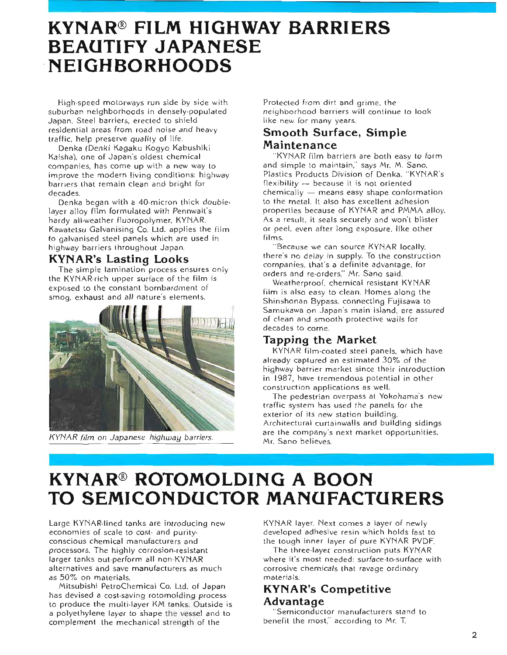## **KYNAR® FILM HIGHWAY BARRIERS BEAUTIFY JAPANESE NEIGHBORHOODS**

High-speed motorways run side by side with suburban neighborhoods in densely-populated Japan, Steel barriers, erected to shield residential areas from road noise and heavy traffic, help preserve quality of life.

Denka (Denki Kagaku Kogyo Kabushiki Kaisha), one of Japan's oldest chemical companies, has come up with a new way to improve the modern living conditions: highway barriers that remain clean and bright for decades.

Denka began with a 40-micron thick doublelayer alloy film formulated with Pennwalt's hardy all-weather fluoropolymer, KYNAR. Kawatetsu Galvanising Co. Ltd. applies the film to galvanised steel panels which are used in highway barriers throughout Japan.

#### **KYNAR's Lasting Looks**

The simple lamination process ensures only the KYNAR-rich upper surface of the film is exposed to the constant bombardment of smog, exhaust and all nature's elements.



KYNAR film on Japanese highway barriers.

Protected from dirt and grime, the neighborhood barriers will continue to look like new for many years.

### **Smooth Surface, Simple** Maintenance

"KYNAR film barriers are both easy to form and simple to maintain," says Mr. M. Sano. Plastics Products Division of Denka, "KYNAR's flexibility  $-$  because it is not oriented chemically - means easy shape conformation to the metal. It also has excellent adhesion properties because of KYNAR and PMMA alloy. As a result, it seals securely and won't blister or peel, even after long exposure, like other films.

"Because we can source KYNAR locally, there's no delay in supply. To the construction companies, that's a definite advantage, for orders and re-orders," Mr. Sano said.

Weatherproof, chemical resistant KYNAR film is also easy to clean. Homes along the Shinshonan Bypass, connecting Fujisawa to Samukawa on Japan's main island, are assured of clean and smooth protective walls for decades to come.

#### Tapping the Market

KYNAR film-coated steel panels, which have already captured an estimated 30% of the highway barrier market since their introduction. in 1987, have tremendous potential in other construction applications as well.

The pedestrian overpass at Yokohama's new traffic system has used the panels for the exterior of its new station building. Architectural curtainwalls and building sidings are the company's next market opportunities, Mr. Sano believes.

# **KYNAR® ROTOMOLDING A BOON** TO SEMICONDUCTOR MANUFACTURERS

Large KYNAR-lined tanks are introducing new economies of scale to cost- and purityconscious chemical manufacturers and processors. The highly corrosion-resistant larger tanks out-perform all non-KYNAR alternatives and save manufacturers as much as 50% on materials.

Mitsubishi PetroChemical Co. Ltd. of Japan has devised a cost-saving rotomolding process to produce the multi-layer KM tanks. Outside is a polyethylene layer to shape the vessel and to complement the mechanical strength of the

KYNAR layer. Next comes a layer of newly developed adhesive resin which holds fast to the tough inner layer of pure KYNAR PVDF.

The three-layer construction puts KYNAR where it's most needed; surface-to-surface with corrosive chemicals that ravage ordinary materials.

### **KYNAR's Competitive Advantage**

'Semiconductor manufacturers stand to benefit the most," according to Mr. T.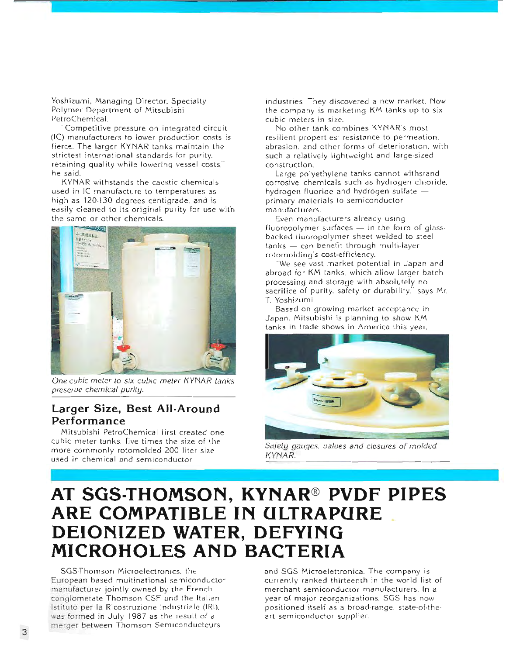Yoshizumi, Managing Director, Specialty Polymer Department of Mitsubishi PetroChemical.

'Competitive pressure on integrated circuit (IC) manufacturers to lower production costs is fierce. The larger KYNAR tanks maintain the strictest international standards for purity. retaining quality while lowering vessel costs." he said.

KYNAR withstands the caustic chemicals used in IC manufacture to temperatures as high as 120-130 degrees centigrade, and is easily cleaned to its original purity for use with the same or other chemicals.



One cubic meter to six cubic meter KYNAR tanks preserve chemical purity.

#### Larger Size, Best All-Around Performance

Mitsubishi PetroChemical lirst created one cubic meter tanks, five times the size of the more commonly rotomolded 200 liter size used in chemical and semiconductor

industries. They discovered a new market. Now the company is marketing KM tanks up to six cubic meters in size.

No other tank combines KYNAR's most resilient properties: resistance to permeation. abrasion, and other forms of deterioration, with such a relatively lightweight and large-sized construction.

Large polyethylene tanks cannot withstand corrosive chemicals such as hydrogen chloride. hydrogen fluoride and hydrogen sulfate primary materials to semiconductor manufacturers.

Even manufacturers already using fluoropolymer surfaces - in the form of glassbacked Iluoropolymer sheet welded to steel tanks - can benefit through multi-layer rotomolding's cost-efficiency.

"We see vast market potential in Japan and abroad for KM tanks, which allow larger batch processing and storage with absolutely no sacrifice of purity, safety or durability," says Mr. T. Yoshizumi.

Based on growing market acceptance in Japan. Mitsubishi is planning to show KM tanks in trade shows in America this year.



Safety gauges, values and closures of molded KYNAR.

# AT SGS-THOMSON, KYNAR® PVDF PIPES ARE COMPATIBLE IN ULTRAPURE DEIONIZED WATER, DEFYING MICROHOLES AND BACTERIA

SGS-Thomson Microelectronics, the European based multinational semiconductor manufacturer jointly owned by the French conglomerate Thomson CSF and the Italian Istituto per la Ricostruzione Industriale (IRI). was formed in July 1987 as the result of a merger between Thomson Semiconducteurs

and SGS Microelettronica. The company is currently ranked thirteenth in the world list of merchant semiconductor manufacturers. In a year of major reorganizations. SGS has now positioned itself as a broad-range, state-of-theart semiconductor supplier.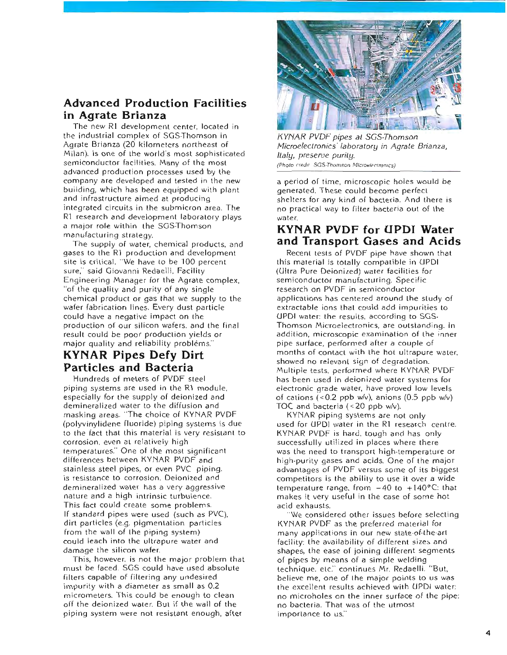### **Advanced Production Facilities** in Agrate Brianza

The new R1 development center, located in the industrial complex of SGS-Thomson in Agrate Brianza (20 kilometers northeast of Milan), is one of the world's most sophisticated semiconductor facilities. Many of the most advanced production processes used by the company are developed and tested in the new building, which has been equipped with plant and infrastructure aimed at producing integrated circuits in the submicron area. The R1 research and development laboratory plays a major role within the SGS-Thomson manufacturing strategy.

The supply of water, chemical products, and gases to the R1 production and development site is critical. "We have to be 100 percent sure," said Giovanni Redaelli, Facility Engineering Manager for the Agrate complex. "of the quality and purity of any single chemical product or gas that we supply to the wafer fabrication lines. Every dust particle could have a negative impact on the production of our silicon wafers, and the final result could be poor production yields or major quality and reliability problems."

### **KYNAR Pipes Defy Dirt Particles and Bacteria**

Hundreds of meters of PVDF steel piping systems are used in the R1 module, especially for the supply of deionized and demineralized water to the diffusion and masking areas. "The choice of KYNAR PVDF (polyvinylidene fluoride) piping systems is due to the fact that this material is very resistant to corrosion, even at relatively high temperatures." One of the most significant differences between KYNAR PVDF and stainless steel pipes, or even PVC piping. is resistance to corrosion. Deionized and demineralized water has a very aggressive nature and a high intrinsic turbulence. This fact could create some problems. If standard pipes were used (such as PVC), dirt particles (e.g. pigmentation particles from the wall of the piping system) could leach into the ultrapure water and damage the silicon wafer.

This, however, is not the major problem that must be faced. SGS could have used absolute filters capable of filtering any undesired impurity with a diameter as small as 0.2 micrometers. This could be enough to clean off the deionized water. But if the wall of the piping system were not resistant enough, after



**KYNAR PVDF** pipes at SGS-Thomson Microelectronics' laboratory in Agrate Brianza, Italy, preserve purity. (Photo credit: SGS-Thomson Microelectronics)

a period of time, microscopic holes would be generated. These could become perfect shelters for any kind of bacteria. And there is no practical way to filter bacteria out of the water

### **KYNAR PVDF for UPDI Water** and Transport Gases and Acids

Recent tests of PVDF pipe have shown that this material is totally compatible in UPDI (Ultra Pure Deionized) water facilities for semiconductor manufacturing. Specific research on PVDF in semiconductor applications has centered around the study of extractable ions that could add impurities to UPDI water: the results, according to SGS-Thomson Microelectronics, are outstanding. In addition, microscopic examination of the inner pipe surface, performed after a couple of months of contact with the hot ultrapure water, showed no relevant sign of degradation. Multiple tests, performed where KYNAR PVDF has been used in deionized water systems for electronic grade water, have proved low levels of cations  $( $0.2$  ppb w/v), anions  $(0.5$  ppb w/v)$ TOC and bacteria  $(< 20$  ppb w/v).

KYNAR piping systems are not only used for UPDI water in the R1 research centre. KYNAR PVDF is hard, tough and has only successfully utilized in places where there was the need to transport high-temperature or high-purity gases and acids. One of the major advantages of PVDF versus some of its biggest competitors is the ability to use it over a wide temperature range, from  $-40$  to  $+140$ °C: that makes it very useful in the case of some hot acid exhausts.

We considered other issues before selecting KYNAR PVDF as the preferred material for many applications in our new state-of-the-art facility; the availability of different sizes and shapes, the ease of joining different segments of pipes by means of a simple welding technique. etc." continues Mr. Redaelli. "But, believe me, one of the major points to us was the excellent results achieved with UPDI water: no microholes on the inner surface of the pipe: no bacteria. That was of the utmost importance to us."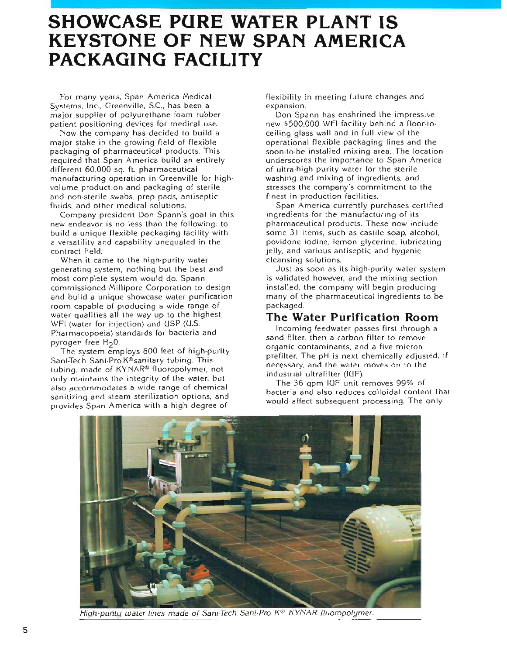## **SHOWCASE PURE WATER PLANT IS KEYSTONE OF NEW SPAN AMERICA PACKAGING FACILITY**

For many years, Span America Medical Systems. Inc., Greenville, S.C., has been a major supplier of polyurethane foam rubber patient positioning devices for medical use.

Now the company has decided to build a major stake in the growing field of flexible packaging of pharmaceutical products. This required that Span America build an entirely different 60,000 sq. ft. pharmaceutical manufacturing operation in Greenville for highvolume production and packaging of sterile and non-sterile swabs, prep pads, antiseptic fluids, and other medical solutions.

Company president Don Spann's goal in this new endeavor is no less than the following: to build a unique flexible packaging facility with a versatility and capability unequaled in the contract field.

When it came to the high-purity water generating system, nothing but the best and most complete system would do. Spann commissioned Millipore Corporation to design and build a unique showcase water purification room capable of producing a wide range of water qualities all the way up to the highest WFI (water for injection) and USP (U.S. Pharmacopoeia) standards for bacteria and pyrogen free  $H_2$ 0.

The system employs 600 feet of high-purity Sani-Tech Sani-Pro K<sup>®</sup>sanitary tubing. This tubing, made of KYNAR<sup>®</sup> fluoropolymer, not only maintains the integrity of the water, but also accommodates a wide range of chemical sanitizing and steam sterilization options, and provides Span America with a high degree of

flexibility in meeting future changes and expansion.

Don Spann has enshrined the impressive new \$500,000 WFI facility behind a floor-toceiling glass wall and in full view of the operational flexible packaging lines and the soon to be installed mixing area. The location underscores the importance to Span America of ultra-high purity water for the sterile washing and mixing of ingredients, and stresses the company's commitment to the finest in production facilities.

Span America currently purchases certified ingredients for the manufacturing of its pharmaceutical products. These now include some 31 items, such as castile soap, alcohol. povidone iodine, lemon glycerine, lubricating jelly, and various antiseptic and hygenic cleansing solutions.

Just as soon as its high-purity waler system is validated however, and the mixing section installed, the company will begin producing many of the pharmaceutical ingredients to be packaged.

#### The Water Purification Room

Incoming feedwater passes first through a sand filter, then a carbon filter to remove organic contaminants, and a five micron prefilter. The pH is next chemically adjusted, if necessary, and the water moves on to the industrial ultrafilter (IUF).

The 36 gpm IUF unit removes 99% of bacteria and also reduces colloidal content that would affect subsequent processing. The only



Eligh-purity water lines made of Sani-Tech Sani-Pro K® KYNAR fluoropolymer.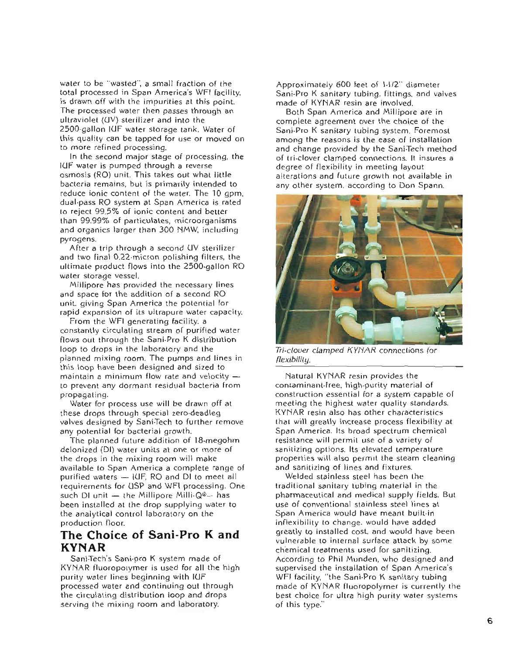water to be "wasted", a small fraction of the total processed in Span America's WFI facility. is drawn off with the impurities at this point. The processed water then passes through an ultraviolet (UV) sterilizer and into the 2500-gallon IGF water storage tank. Water of this quality can be tapped for use or moved on to more refined processing.

In the second major stage of processing, the IUF water is pumped through a reverse osmosis (RO) unit. This takes out what little bacteria remains, but is primarily intended to reduce ionic content of the water. The 10 apm. dual pass RO system at Span America is rated to reject 99.5% of ionic content and better than 99.99% of particulates, microorganisms and organics larger than 300 NMW, including pyrogens.

After a trip through a second UV sterilizer and two final 0.22 micron polishing filters, the ultimate product flows into the 2500-gallon RO water storage vessel.

Millipore has provided the necessary lines and space for the addition of a second RO unit, giving Span America the potential for rapid expansion of its ultrapure water capacity.

From the WFI generating facility, a constantly circulating stream of purified water flows out through the Sani-Pro K distribution loop to drops in the laboratory and the planned mixing room. The pumps and lines in this loop have been designed and sized to maintain a minimum flow rate and velocity  $$ to prevent any dormant residual bacteria from propagating.

Water for process use will be drawn off at these drops through special zero-deadleg valves designed by Sani-Tech to further remove any potential for bacterial growth.

The planned future addition of 18-megohm deionized (DI) water units at one or more of the drops in the mixing room will make available to Span America a complete range of purified waters - IUF, RO and DI to meet all requirements for USP and WFI processing. One such DI unit - the Millipore Milli-Q®- has been installed at the drop supplying water to the analytical control laboratory on the production floor.

### The Choice of Sani-Pro K and **KYNAR**

Sani-Tech's Sani-pro K system made of KYNAR fluoropolymer is used for all the high purity water lines beginning with IUF processed water and continuing out through the circulating distribution loop and drops serving the mixing room and laboratory.

Approximately 600 feet of 1-1/2" diameter Sani-Pro K sanitary tubing, fittings, and valves made of KYNAR resin are involved.

Both Span America and Millipore are in complete agreement over the choice of the Sani-Pro K sanitary tubing system, Foremost among the reasons is the ease of installation and change provided by the Sani-Tech method of tri-clover clamped connections. It insures a degree of flexibility in meeting layout alterations and future growth not available in any other system, according to Don Spann.



Tri-clover clamped KYNAR connections for flexibility.

Natural KYNAR resin provides the contaminant-free, high-purity material of construction essential for a system capable of meeting the highest water quality standards. KYNAR resin also has other characteristics that will greatly increase process flexibility at Span America. Its broad spectrum chemical resistance will permit use of a variety of sanitizing options, Its elevated temperature properties will also permit the steam cleaning and sanitizing of lines and fixtures.

Welded stainless steel has been the traditional sanitary tubing material in the pharmaceutical and medical supply fields. But use of conventional stainless steel lines at Span America would have meant built-in inflexibility to change, would have added greatly to installed cost, and would have been vulnerable to internal surface attack by some chemical treatments used for sanitizing. According to Phil Munden, who designed and supervised the installation of Span America's WFI facility, "the Sani-Pro K sanitary tubing made of KYNAR fluoropolymer is currently the best choice for ultra high purity water systems of this type."